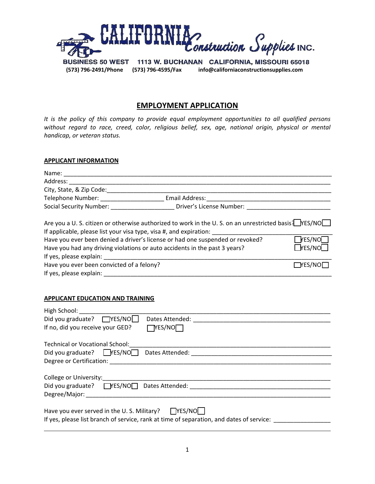

**(573) 796-2491/Phone (573) 796-4595/Fax info@californiaconstructionsupplies.com**

## **EMPLOYMENT APPLICATION**

*It is the policy of this company to provide equal employment opportunities to all qualified persons without regard to race, creed, color, religious belief, sex, age, national origin, physical or mental handicap, or veteran status.*

## **APPLICANT INFORMATION**

| Name: $\_\_$                                                       |                                                                                                         |  |
|--------------------------------------------------------------------|---------------------------------------------------------------------------------------------------------|--|
| Address:                                                           |                                                                                                         |  |
| City, State, & Zip Code:                                           |                                                                                                         |  |
| Telephone Number:                                                  | Email Address:                                                                                          |  |
| <b>Social Security Number:</b>                                     | Driver's License Number:                                                                                |  |
|                                                                    | Are you a U. S. citizen or otherwise authorized to work in the U. S. on an unrestricted basis? $NES/NO$ |  |
| If applicable, please list your visa type, visa #, and expiration: |                                                                                                         |  |

| Have you ever been denied a driver's license or had one suspended or revoked? | $\Box$ res/NO $\Box$ |
|-------------------------------------------------------------------------------|----------------------|
| Have you had any driving violations or auto accidents in the past 3 years?    | $T$ YES/NO $\Box$    |
| If yes, please explain:                                                       |                      |
| Have you ever been convicted of a felony?                                     | $\Box$ YES/NO $\Box$ |
| If yes, please explain:                                                       |                      |

## **APPLICANT EDUCATION AND TRAINING**

| High School: _______________                                                                                                                                                                                                                                 |  |  |  |  |
|--------------------------------------------------------------------------------------------------------------------------------------------------------------------------------------------------------------------------------------------------------------|--|--|--|--|
| Did you graduate? □YES/NO□<br>Dates Attended: National Action of the Second Second Second Second Second Second Second Second Second Second Second Second Second Second Second Second Second Second Second Second Second Second Second Second Second Second S |  |  |  |  |
| $\Box$ YES/NO $\Box$<br>If no, did you receive your GED?                                                                                                                                                                                                     |  |  |  |  |
| Technical or Vocational School:                                                                                                                                                                                                                              |  |  |  |  |
|                                                                                                                                                                                                                                                              |  |  |  |  |
|                                                                                                                                                                                                                                                              |  |  |  |  |
|                                                                                                                                                                                                                                                              |  |  |  |  |
|                                                                                                                                                                                                                                                              |  |  |  |  |
| Did you graduate? $\Box$ YES/NO $\Box$ Dates Attended: $\Box$                                                                                                                                                                                                |  |  |  |  |
|                                                                                                                                                                                                                                                              |  |  |  |  |
| Have you ever served in the U.S. Military? $\Box$ YES/NO                                                                                                                                                                                                     |  |  |  |  |
| If yes, please list branch of service, rank at time of separation, and dates of service:                                                                                                                                                                     |  |  |  |  |